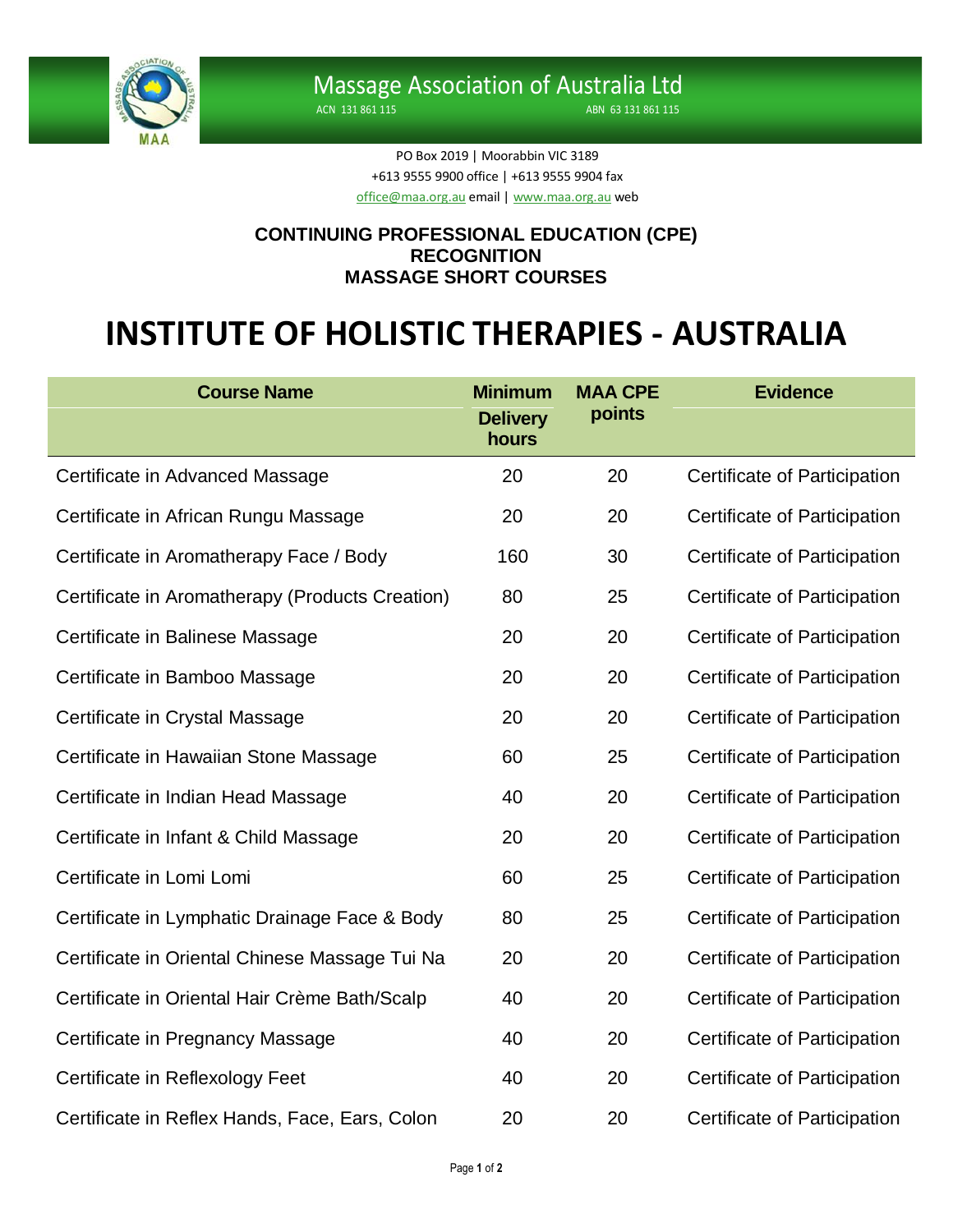

ACN 131 861 115 ABN 63 131 861 115

PO Box 2019 | Moorabbin VIC 3189 +613 9555 9900 office | +613 9555 9904 fax [office@maa.org.au](mailto:office@maa.org.au) email [| www.maa.org.au](http://www.maa.org.au/) web

## **CONTINUING PROFESSIONAL EDUCATION (CPE) RECOGNITION MASSAGE SHORT COURSES**

## **INSTITUTE OF HOLISTIC THERAPIES - AUSTRALIA**

| <b>Course Name</b>                              | <b>Minimum</b><br><b>Delivery</b><br>hours | <b>MAA CPE</b><br>points | <b>Evidence</b>                     |
|-------------------------------------------------|--------------------------------------------|--------------------------|-------------------------------------|
| Certificate in Advanced Massage                 | 20                                         | 20                       | Certificate of Participation        |
| Certificate in African Rungu Massage            | 20                                         | 20                       | Certificate of Participation        |
| Certificate in Aromatherapy Face / Body         | 160                                        | 30                       | Certificate of Participation        |
| Certificate in Aromatherapy (Products Creation) | 80                                         | 25                       | Certificate of Participation        |
| Certificate in Balinese Massage                 | 20                                         | 20                       | Certificate of Participation        |
| Certificate in Bamboo Massage                   | 20                                         | 20                       | <b>Certificate of Participation</b> |
| Certificate in Crystal Massage                  | 20                                         | 20                       | Certificate of Participation        |
| Certificate in Hawaiian Stone Massage           | 60                                         | 25                       | Certificate of Participation        |
| Certificate in Indian Head Massage              | 40                                         | 20                       | Certificate of Participation        |
| Certificate in Infant & Child Massage           | 20                                         | 20                       | Certificate of Participation        |
| Certificate in Lomi Lomi                        | 60                                         | 25                       | Certificate of Participation        |
| Certificate in Lymphatic Drainage Face & Body   | 80                                         | 25                       | Certificate of Participation        |
| Certificate in Oriental Chinese Massage Tui Na  | 20                                         | 20                       | Certificate of Participation        |
| Certificate in Oriental Hair Crème Bath/Scalp   | 40                                         | 20                       | Certificate of Participation        |
| Certificate in Pregnancy Massage                | 40                                         | 20                       | Certificate of Participation        |
| Certificate in Reflexology Feet                 | 40                                         | 20                       | Certificate of Participation        |
| Certificate in Reflex Hands, Face, Ears, Colon  | 20                                         | 20                       | Certificate of Participation        |